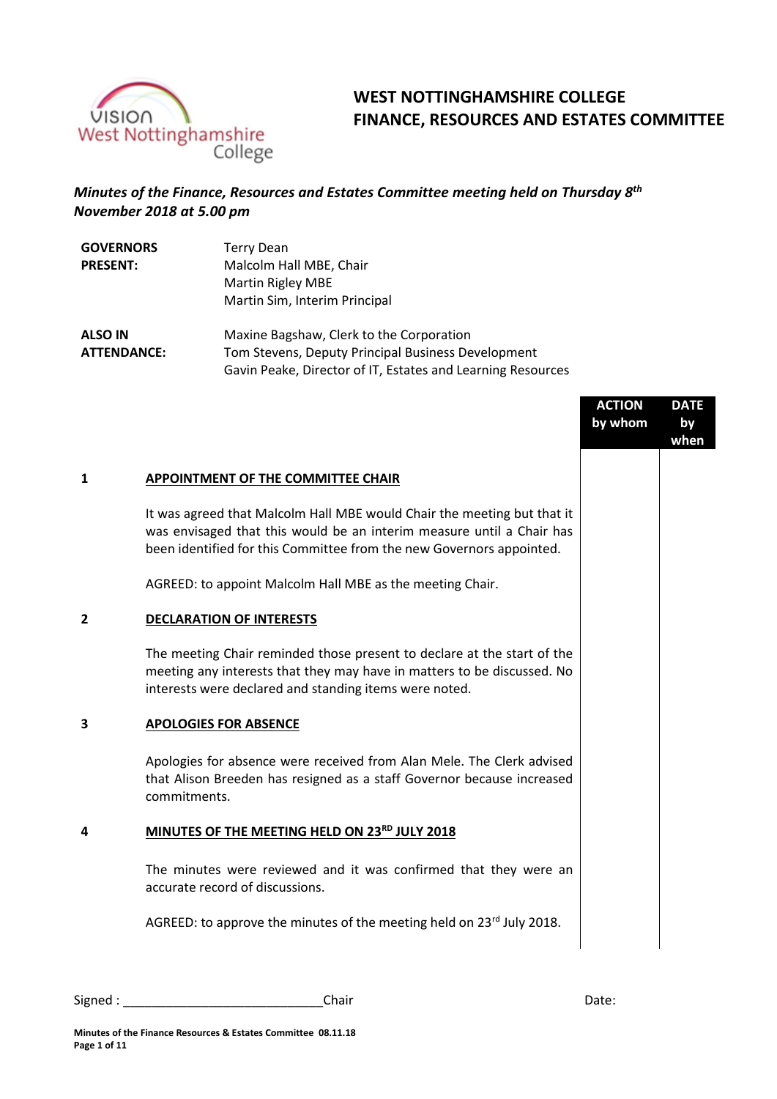

# **WEST NOTTINGHAMSHIRE COLLEGE FINANCE, RESOURCES AND ESTATES COMMITTEE**

## *Minutes of the Finance, Resources and Estates Committee meeting held on Thursday 8th November 2018 at 5.00 pm*

| <b>GOVERNORS</b> | Terry Dean                    |
|------------------|-------------------------------|
| <b>PRESENT:</b>  | Malcolm Hall MBE, Chair       |
|                  | Martin Rigley MBE             |
|                  | Martin Sim, Interim Principal |
|                  |                               |

**ALSO IN ATTENDANCE:** Maxine Bagshaw, Clerk to the Corporation Tom Stevens, Deputy Principal Business Development Gavin Peake, Director of IT, Estates and Learning Resources

|   |                                                                                                                                                                                                                          | <b>ACTION</b><br>by whom | <b>DATE</b><br>by<br>when |
|---|--------------------------------------------------------------------------------------------------------------------------------------------------------------------------------------------------------------------------|--------------------------|---------------------------|
| 1 | APPOINTMENT OF THE COMMITTEE CHAIR                                                                                                                                                                                       |                          |                           |
|   | It was agreed that Malcolm Hall MBE would Chair the meeting but that it<br>was envisaged that this would be an interim measure until a Chair has<br>been identified for this Committee from the new Governors appointed. |                          |                           |
|   | AGREED: to appoint Malcolm Hall MBE as the meeting Chair.                                                                                                                                                                |                          |                           |
| 2 | <b>DECLARATION OF INTERESTS</b>                                                                                                                                                                                          |                          |                           |
|   | The meeting Chair reminded those present to declare at the start of the<br>meeting any interests that they may have in matters to be discussed. No<br>interests were declared and standing items were noted.             |                          |                           |
| 3 | <b>APOLOGIES FOR ABSENCE</b>                                                                                                                                                                                             |                          |                           |
|   | Apologies for absence were received from Alan Mele. The Clerk advised<br>that Alison Breeden has resigned as a staff Governor because increased<br>commitments.                                                          |                          |                           |
| 4 | MINUTES OF THE MEETING HELD ON 23RD JULY 2018                                                                                                                                                                            |                          |                           |
|   | The minutes were reviewed and it was confirmed that they were an<br>accurate record of discussions.                                                                                                                      |                          |                           |
|   | AGREED: to approve the minutes of the meeting held on 23rd July 2018.                                                                                                                                                    |                          |                           |
|   |                                                                                                                                                                                                                          |                          |                           |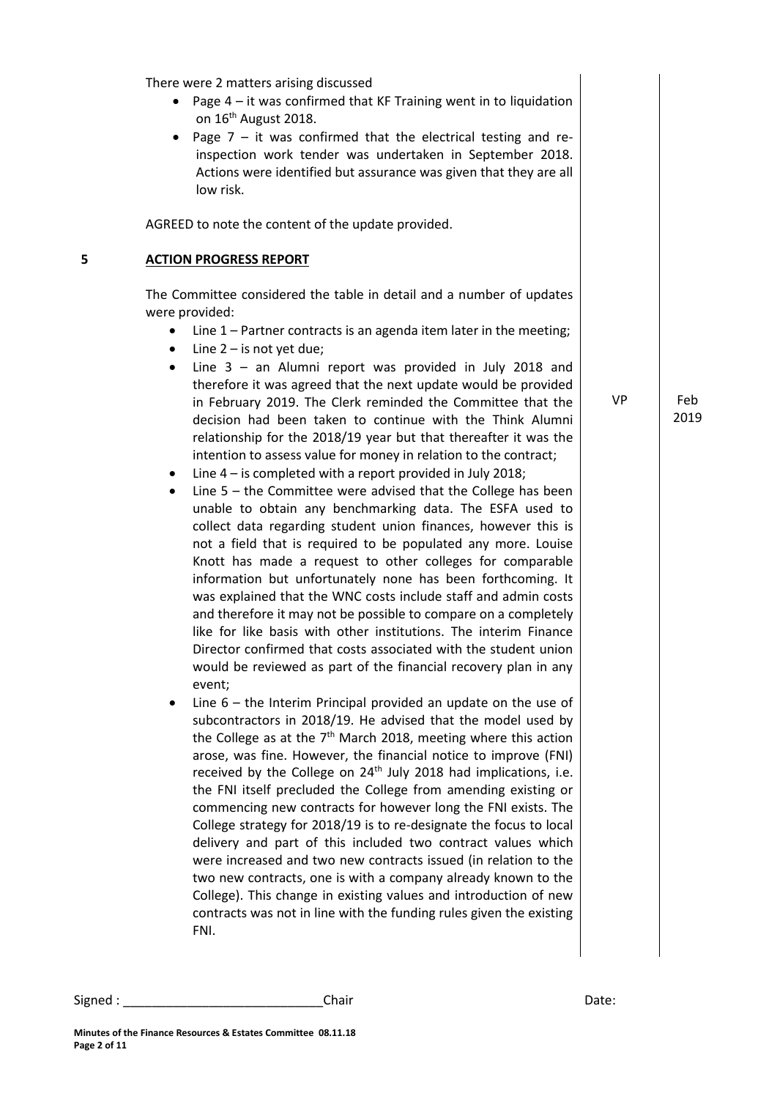There were 2 matters arising discussed

- Page  $4 it$  was confirmed that KF Training went in to liquidation on 16<sup>th</sup> August 2018.
- Page  $7 it$  was confirmed that the electrical testing and reinspection work tender was undertaken in September 2018. Actions were identified but assurance was given that they are all low risk.

AGREED to note the content of the update provided.

#### **5 ACTION PROGRESS REPORT**

The Committee considered the table in detail and a number of updates were provided:

- Line 1 Partner contracts is an agenda item later in the meeting;
- Line 2 is not yet due;
- Line 3 an Alumni report was provided in July 2018 and therefore it was agreed that the next update would be provided in February 2019. The Clerk reminded the Committee that the decision had been taken to continue with the Think Alumni relationship for the 2018/19 year but that thereafter it was the intention to assess value for money in relation to the contract;
- Line 4 is completed with a report provided in July 2018;
- Line 5 the Committee were advised that the College has been unable to obtain any benchmarking data. The ESFA used to collect data regarding student union finances, however this is not a field that is required to be populated any more. Louise Knott has made a request to other colleges for comparable information but unfortunately none has been forthcoming. It was explained that the WNC costs include staff and admin costs and therefore it may not be possible to compare on a completely like for like basis with other institutions. The interim Finance Director confirmed that costs associated with the student union would be reviewed as part of the financial recovery plan in any event;
- Line 6 the Interim Principal provided an update on the use of subcontractors in 2018/19. He advised that the model used by the College as at the  $7<sup>th</sup>$  March 2018, meeting where this action arose, was fine. However, the financial notice to improve (FNI) received by the College on  $24<sup>th</sup>$  July 2018 had implications, i.e. the FNI itself precluded the College from amending existing or commencing new contracts for however long the FNI exists. The College strategy for 2018/19 is to re-designate the focus to local delivery and part of this included two contract values which were increased and two new contracts issued (in relation to the two new contracts, one is with a company already known to the College). This change in existing values and introduction of new contracts was not in line with the funding rules given the existing FNI.

VP Feb 2019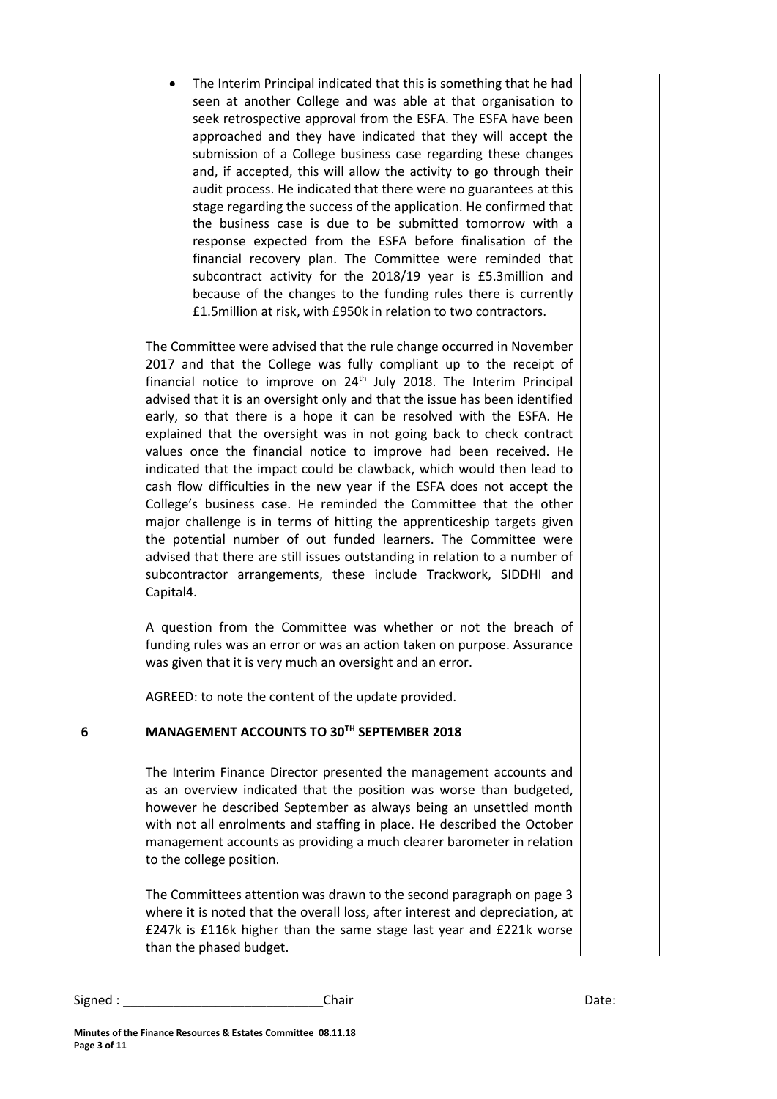The Interim Principal indicated that this is something that he had seen at another College and was able at that organisation to seek retrospective approval from the ESFA. The ESFA have been approached and they have indicated that they will accept the submission of a College business case regarding these changes and, if accepted, this will allow the activity to go through their audit process. He indicated that there were no guarantees at this stage regarding the success of the application. He confirmed that the business case is due to be submitted tomorrow with a response expected from the ESFA before finalisation of the financial recovery plan. The Committee were reminded that subcontract activity for the 2018/19 year is £5.3million and because of the changes to the funding rules there is currently £1.5million at risk, with £950k in relation to two contractors.

The Committee were advised that the rule change occurred in November 2017 and that the College was fully compliant up to the receipt of financial notice to improve on  $24<sup>th</sup>$  July 2018. The Interim Principal advised that it is an oversight only and that the issue has been identified early, so that there is a hope it can be resolved with the ESFA. He explained that the oversight was in not going back to check contract values once the financial notice to improve had been received. He indicated that the impact could be clawback, which would then lead to cash flow difficulties in the new year if the ESFA does not accept the College's business case. He reminded the Committee that the other major challenge is in terms of hitting the apprenticeship targets given the potential number of out funded learners. The Committee were advised that there are still issues outstanding in relation to a number of subcontractor arrangements, these include Trackwork, SIDDHI and Capital4.

A question from the Committee was whether or not the breach of funding rules was an error or was an action taken on purpose. Assurance was given that it is very much an oversight and an error.

AGREED: to note the content of the update provided.

#### **6 MANAGEMENT ACCOUNTS TO 30TH SEPTEMBER 2018**

The Interim Finance Director presented the management accounts and as an overview indicated that the position was worse than budgeted, however he described September as always being an unsettled month with not all enrolments and staffing in place. He described the October management accounts as providing a much clearer barometer in relation to the college position.

The Committees attention was drawn to the second paragraph on page 3 where it is noted that the overall loss, after interest and depreciation, at £247k is £116k higher than the same stage last year and £221k worse than the phased budget.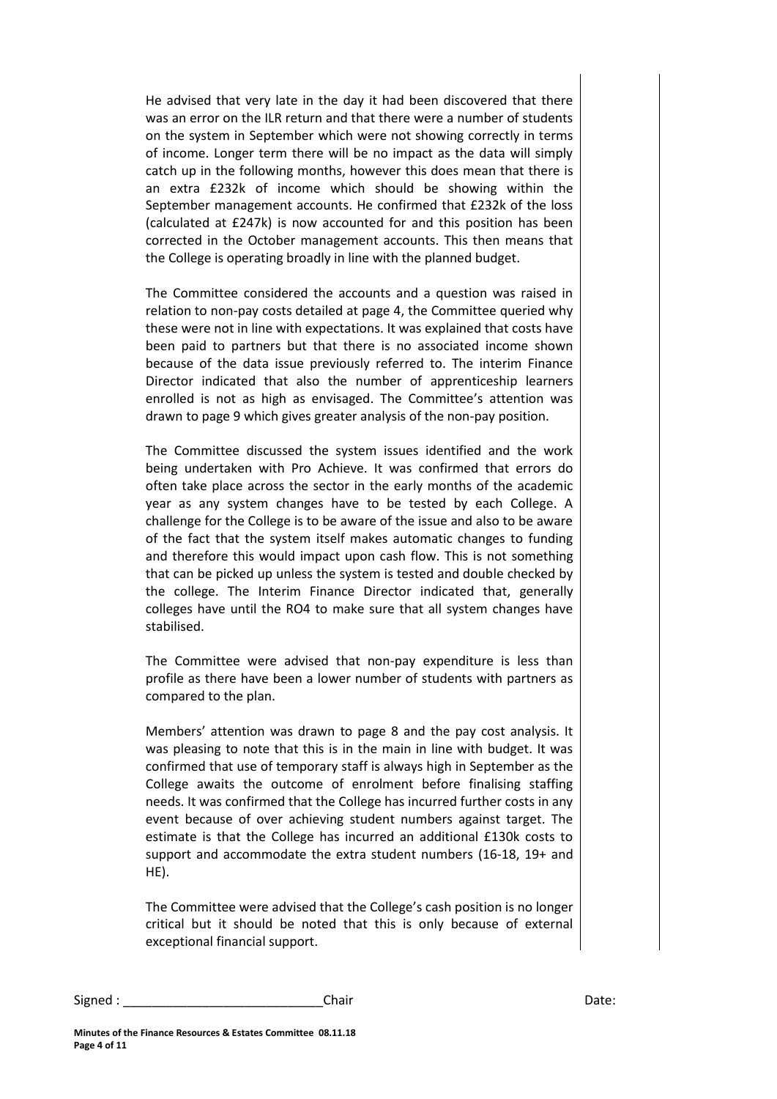He advised that very late in the day it had been discovered that there was an error on the ILR return and that there were a number of students on the system in September which were not showing correctly in terms of income. Longer term there will be no impact as the data will simply catch up in the following months, however this does mean that there is an extra £232k of income which should be showing within the September management accounts. He confirmed that £232k of the loss (calculated at £247k) is now accounted for and this position has been corrected in the October management accounts. This then means that the College is operating broadly in line with the planned budget.

The Committee considered the accounts and a question was raised in relation to non-pay costs detailed at page 4, the Committee queried why these were not in line with expectations. It was explained that costs have been paid to partners but that there is no associated income shown because of the data issue previously referred to. The interim Finance Director indicated that also the number of apprenticeship learners enrolled is not as high as envisaged. The Committee's attention was drawn to page 9 which gives greater analysis of the non-pay position.

The Committee discussed the system issues identified and the work being undertaken with Pro Achieve. It was confirmed that errors do often take place across the sector in the early months of the academic year as any system changes have to be tested by each College. A challenge for the College is to be aware of the issue and also to be aware of the fact that the system itself makes automatic changes to funding and therefore this would impact upon cash flow. This is not something that can be picked up unless the system is tested and double checked by the college. The Interim Finance Director indicated that, generally colleges have until the RO4 to make sure that all system changes have stabilised.

The Committee were advised that non-pay expenditure is less than profile as there have been a lower number of students with partners as compared to the plan.

Members' attention was drawn to page 8 and the pay cost analysis. It was pleasing to note that this is in the main in line with budget. It was confirmed that use of temporary staff is always high in September as the College awaits the outcome of enrolment before finalising staffing needs. It was confirmed that the College has incurred further costs in any event because of over achieving student numbers against target. The estimate is that the College has incurred an additional £130k costs to support and accommodate the extra student numbers (16-18, 19+ and HE).

The Committee were advised that the College's cash position is no longer critical but it should be noted that this is only because of external exceptional financial support.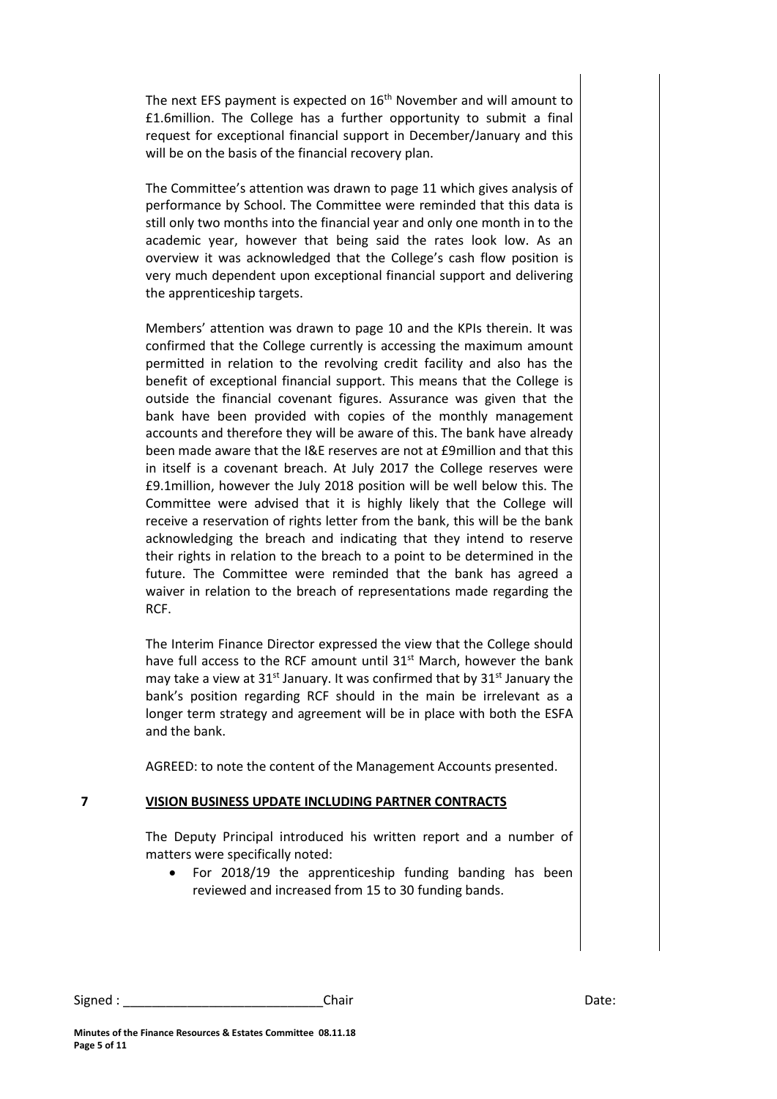The next EFS payment is expected on 16<sup>th</sup> November and will amount to £1.6million. The College has a further opportunity to submit a final request for exceptional financial support in December/January and this will be on the basis of the financial recovery plan.

The Committee's attention was drawn to page 11 which gives analysis of performance by School. The Committee were reminded that this data is still only two months into the financial year and only one month in to the academic year, however that being said the rates look low. As an overview it was acknowledged that the College's cash flow position is very much dependent upon exceptional financial support and delivering the apprenticeship targets.

Members' attention was drawn to page 10 and the KPIs therein. It was confirmed that the College currently is accessing the maximum amount permitted in relation to the revolving credit facility and also has the benefit of exceptional financial support. This means that the College is outside the financial covenant figures. Assurance was given that the bank have been provided with copies of the monthly management accounts and therefore they will be aware of this. The bank have already been made aware that the I&E reserves are not at £9million and that this in itself is a covenant breach. At July 2017 the College reserves were £9.1million, however the July 2018 position will be well below this. The Committee were advised that it is highly likely that the College will receive a reservation of rights letter from the bank, this will be the bank acknowledging the breach and indicating that they intend to reserve their rights in relation to the breach to a point to be determined in the future. The Committee were reminded that the bank has agreed a waiver in relation to the breach of representations made regarding the RCF.

The Interim Finance Director expressed the view that the College should have full access to the RCF amount until  $31<sup>st</sup>$  March, however the bank may take a view at  $31<sup>st</sup>$  January. It was confirmed that by  $31<sup>st</sup>$  January the bank's position regarding RCF should in the main be irrelevant as a longer term strategy and agreement will be in place with both the ESFA and the bank.

AGREED: to note the content of the Management Accounts presented.

#### **7 VISION BUSINESS UPDATE INCLUDING PARTNER CONTRACTS**

The Deputy Principal introduced his written report and a number of matters were specifically noted:

 For 2018/19 the apprenticeship funding banding has been reviewed and increased from 15 to 30 funding bands.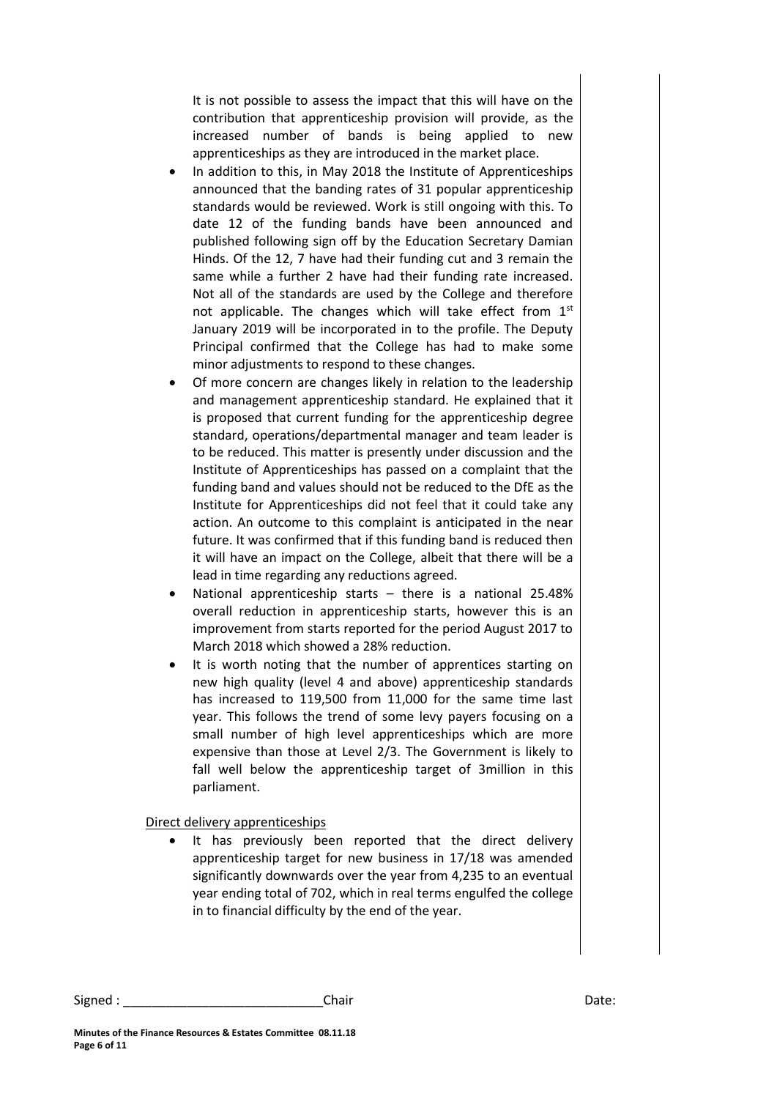It is not possible to assess the impact that this will have on the contribution that apprenticeship provision will provide, as the increased number of bands is being applied to new apprenticeships as they are introduced in the market place.

- In addition to this, in May 2018 the Institute of Apprenticeships announced that the banding rates of 31 popular apprenticeship standards would be reviewed. Work is still ongoing with this. To date 12 of the funding bands have been announced and published following sign off by the Education Secretary Damian Hinds. Of the 12, 7 have had their funding cut and 3 remain the same while a further 2 have had their funding rate increased. Not all of the standards are used by the College and therefore not applicable. The changes which will take effect from  $1<sup>st</sup>$ January 2019 will be incorporated in to the profile. The Deputy Principal confirmed that the College has had to make some minor adjustments to respond to these changes.
- Of more concern are changes likely in relation to the leadership and management apprenticeship standard. He explained that it is proposed that current funding for the apprenticeship degree standard, operations/departmental manager and team leader is to be reduced. This matter is presently under discussion and the Institute of Apprenticeships has passed on a complaint that the funding band and values should not be reduced to the DfE as the Institute for Apprenticeships did not feel that it could take any action. An outcome to this complaint is anticipated in the near future. It was confirmed that if this funding band is reduced then it will have an impact on the College, albeit that there will be a lead in time regarding any reductions agreed.
- National apprenticeship starts there is a national 25.48% overall reduction in apprenticeship starts, however this is an improvement from starts reported for the period August 2017 to March 2018 which showed a 28% reduction.
- It is worth noting that the number of apprentices starting on new high quality (level 4 and above) apprenticeship standards has increased to 119,500 from 11,000 for the same time last year. This follows the trend of some levy payers focusing on a small number of high level apprenticeships which are more expensive than those at Level 2/3. The Government is likely to fall well below the apprenticeship target of 3million in this parliament.

Direct delivery apprenticeships

 It has previously been reported that the direct delivery apprenticeship target for new business in 17/18 was amended significantly downwards over the year from 4,235 to an eventual year ending total of 702, which in real terms engulfed the college in to financial difficulty by the end of the year.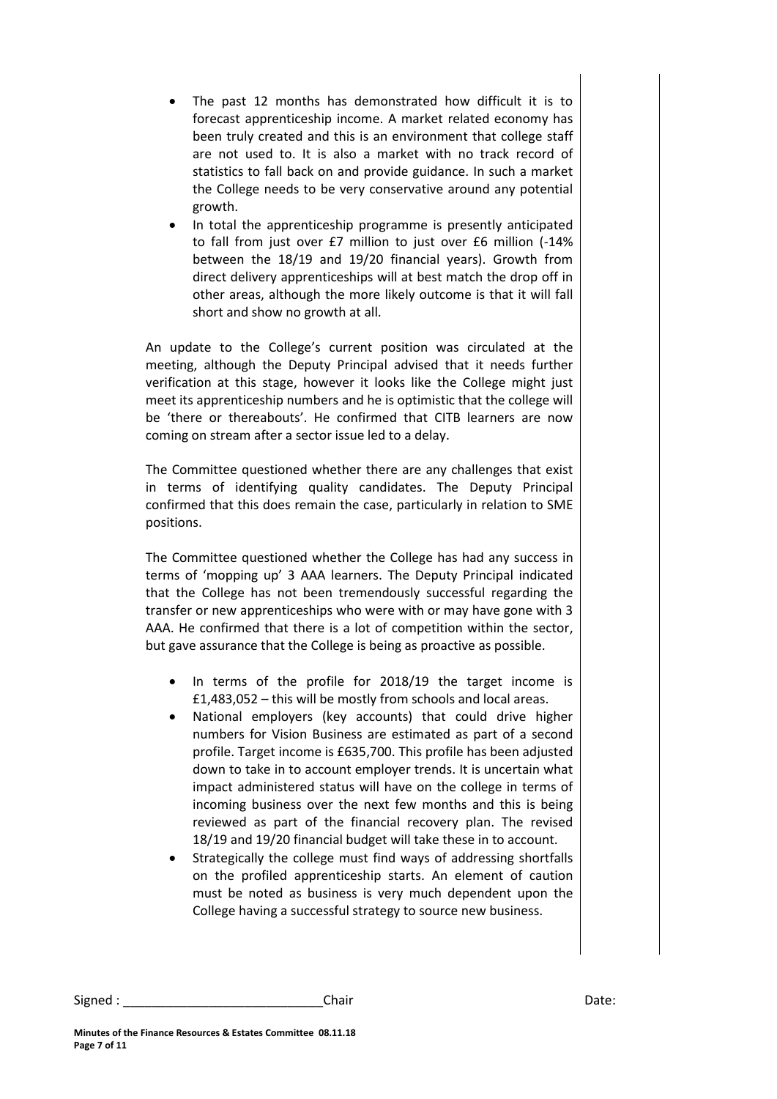- The past 12 months has demonstrated how difficult it is to forecast apprenticeship income. A market related economy has been truly created and this is an environment that college staff are not used to. It is also a market with no track record of statistics to fall back on and provide guidance. In such a market the College needs to be very conservative around any potential growth.
- In total the apprenticeship programme is presently anticipated to fall from just over £7 million to just over £6 million (-14% between the 18/19 and 19/20 financial years). Growth from direct delivery apprenticeships will at best match the drop off in other areas, although the more likely outcome is that it will fall short and show no growth at all.

An update to the College's current position was circulated at the meeting, although the Deputy Principal advised that it needs further verification at this stage, however it looks like the College might just meet its apprenticeship numbers and he is optimistic that the college will be 'there or thereabouts'. He confirmed that CITB learners are now coming on stream after a sector issue led to a delay.

The Committee questioned whether there are any challenges that exist in terms of identifying quality candidates. The Deputy Principal confirmed that this does remain the case, particularly in relation to SME positions.

The Committee questioned whether the College has had any success in terms of 'mopping up' 3 AAA learners. The Deputy Principal indicated that the College has not been tremendously successful regarding the transfer or new apprenticeships who were with or may have gone with 3 AAA. He confirmed that there is a lot of competition within the sector, but gave assurance that the College is being as proactive as possible.

- In terms of the profile for 2018/19 the target income is £1,483,052 – this will be mostly from schools and local areas.
- National employers (key accounts) that could drive higher numbers for Vision Business are estimated as part of a second profile. Target income is £635,700. This profile has been adjusted down to take in to account employer trends. It is uncertain what impact administered status will have on the college in terms of incoming business over the next few months and this is being reviewed as part of the financial recovery plan. The revised 18/19 and 19/20 financial budget will take these in to account.
- Strategically the college must find ways of addressing shortfalls on the profiled apprenticeship starts. An element of caution must be noted as business is very much dependent upon the College having a successful strategy to source new business.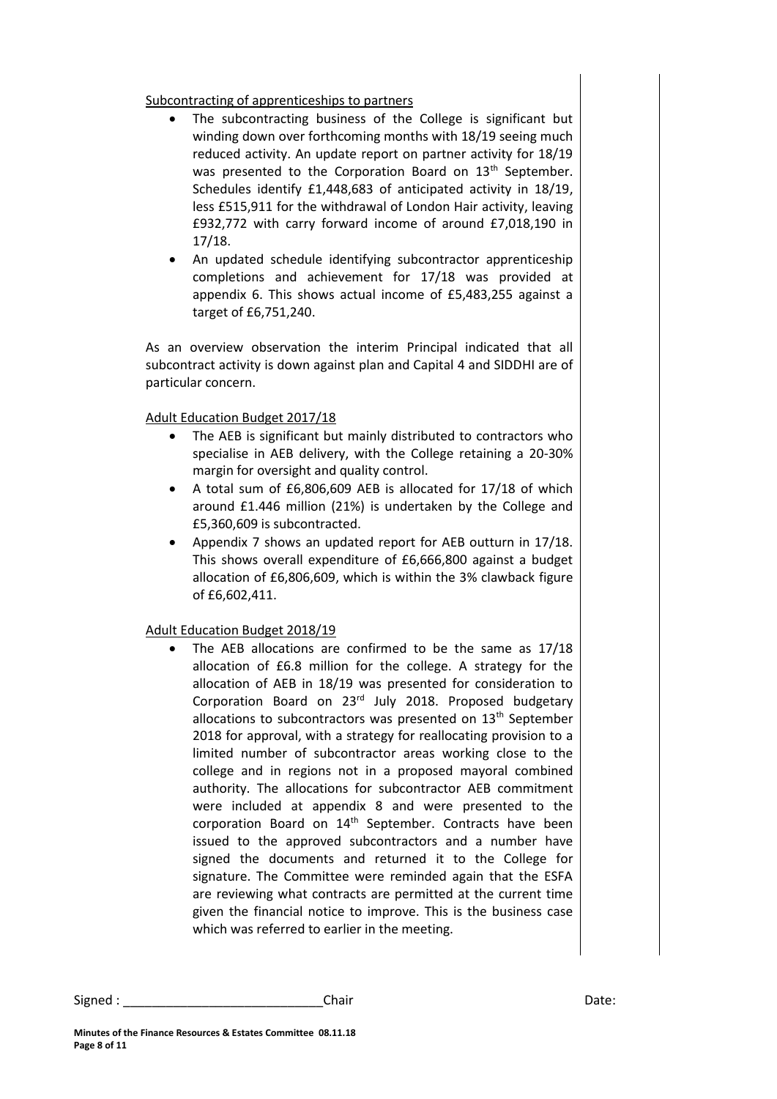#### Subcontracting of apprenticeships to partners

- The subcontracting business of the College is significant but winding down over forthcoming months with 18/19 seeing much reduced activity. An update report on partner activity for 18/19 was presented to the Corporation Board on 13<sup>th</sup> September. Schedules identify £1,448,683 of anticipated activity in 18/19, less £515,911 for the withdrawal of London Hair activity, leaving £932,772 with carry forward income of around £7,018,190 in 17/18.
- An updated schedule identifying subcontractor apprenticeship completions and achievement for 17/18 was provided at appendix 6. This shows actual income of £5,483,255 against a target of £6,751,240.

As an overview observation the interim Principal indicated that all subcontract activity is down against plan and Capital 4 and SIDDHI are of particular concern.

## Adult Education Budget 2017/18

- The AEB is significant but mainly distributed to contractors who specialise in AEB delivery, with the College retaining a 20-30% margin for oversight and quality control.
- A total sum of £6,806,609 AEB is allocated for 17/18 of which around £1.446 million (21%) is undertaken by the College and £5,360,609 is subcontracted.
- Appendix 7 shows an updated report for AEB outturn in 17/18. This shows overall expenditure of £6,666,800 against a budget allocation of £6,806,609, which is within the 3% clawback figure of £6,602,411.

## Adult Education Budget 2018/19

 The AEB allocations are confirmed to be the same as 17/18 allocation of £6.8 million for the college. A strategy for the allocation of AEB in 18/19 was presented for consideration to Corporation Board on 23rd July 2018. Proposed budgetary allocations to subcontractors was presented on  $13<sup>th</sup>$  September 2018 for approval, with a strategy for reallocating provision to a limited number of subcontractor areas working close to the college and in regions not in a proposed mayoral combined authority. The allocations for subcontractor AEB commitment were included at appendix 8 and were presented to the corporation Board on 14<sup>th</sup> September. Contracts have been issued to the approved subcontractors and a number have signed the documents and returned it to the College for signature. The Committee were reminded again that the ESFA are reviewing what contracts are permitted at the current time given the financial notice to improve. This is the business case which was referred to earlier in the meeting.

Signed : \_\_\_\_\_\_\_\_\_\_\_\_\_\_\_\_\_\_\_\_\_\_\_\_\_\_\_\_\_\_\_\_Chair \_\_\_\_\_\_\_\_\_\_\_\_\_\_\_\_\_\_\_\_\_\_\_\_\_\_\_\_\_\_\_\_\_Date: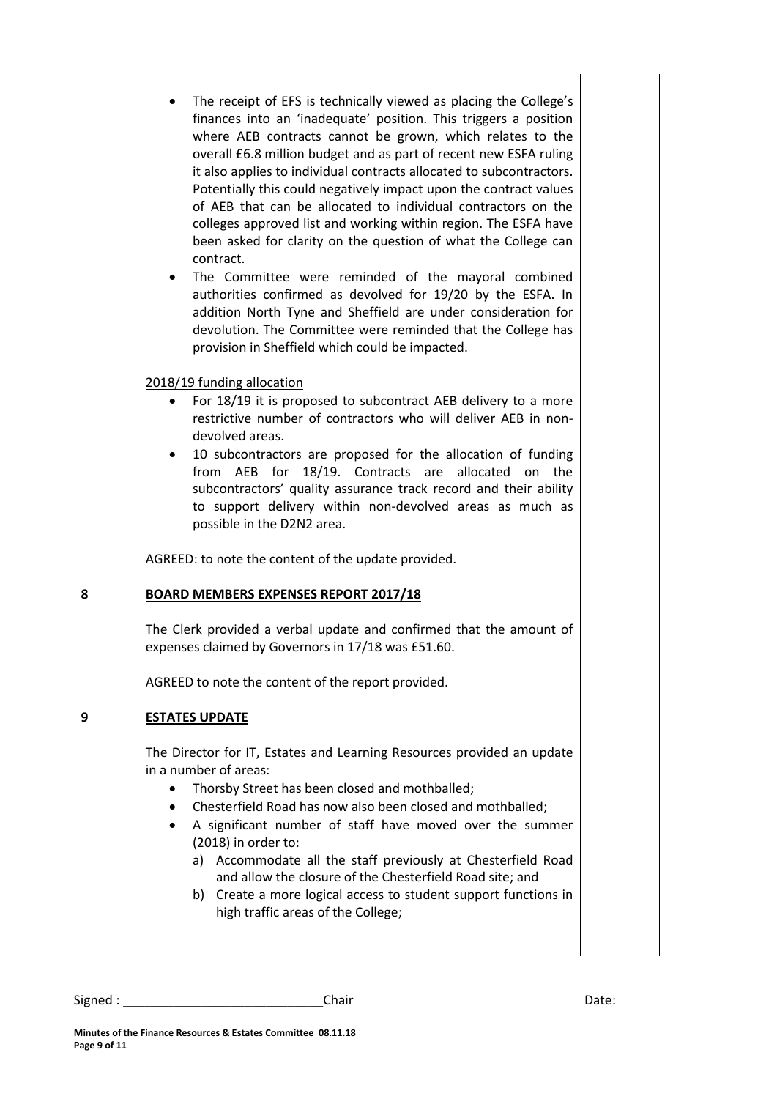- The receipt of EFS is technically viewed as placing the College's finances into an 'inadequate' position. This triggers a position where AEB contracts cannot be grown, which relates to the overall £6.8 million budget and as part of recent new ESFA ruling it also applies to individual contracts allocated to subcontractors. Potentially this could negatively impact upon the contract values of AEB that can be allocated to individual contractors on the colleges approved list and working within region. The ESFA have been asked for clarity on the question of what the College can contract.
- The Committee were reminded of the mayoral combined authorities confirmed as devolved for 19/20 by the ESFA. In addition North Tyne and Sheffield are under consideration for devolution. The Committee were reminded that the College has provision in Sheffield which could be impacted.

2018/19 funding allocation

- For 18/19 it is proposed to subcontract AEB delivery to a more restrictive number of contractors who will deliver AEB in nondevolved areas.
- 10 subcontractors are proposed for the allocation of funding from AEB for 18/19. Contracts are allocated on the subcontractors' quality assurance track record and their ability to support delivery within non-devolved areas as much as possible in the D2N2 area.

AGREED: to note the content of the update provided.

#### **8 BOARD MEMBERS EXPENSES REPORT 2017/18**

The Clerk provided a verbal update and confirmed that the amount of expenses claimed by Governors in 17/18 was £51.60.

AGREED to note the content of the report provided.

## **9 ESTATES UPDATE**

The Director for IT, Estates and Learning Resources provided an update in a number of areas:

- Thorsby Street has been closed and mothballed;
- Chesterfield Road has now also been closed and mothballed;
- A significant number of staff have moved over the summer (2018) in order to:
	- a) Accommodate all the staff previously at Chesterfield Road and allow the closure of the Chesterfield Road site; and
	- b) Create a more logical access to student support functions in high traffic areas of the College;

Signed : \_\_\_\_\_\_\_\_\_\_\_\_\_\_\_\_\_\_\_\_\_\_\_\_\_\_\_\_\_\_\_\_Chair \_\_\_\_\_\_\_\_\_\_\_\_\_\_\_\_\_\_\_\_\_\_\_\_\_\_\_\_\_\_\_\_\_Date: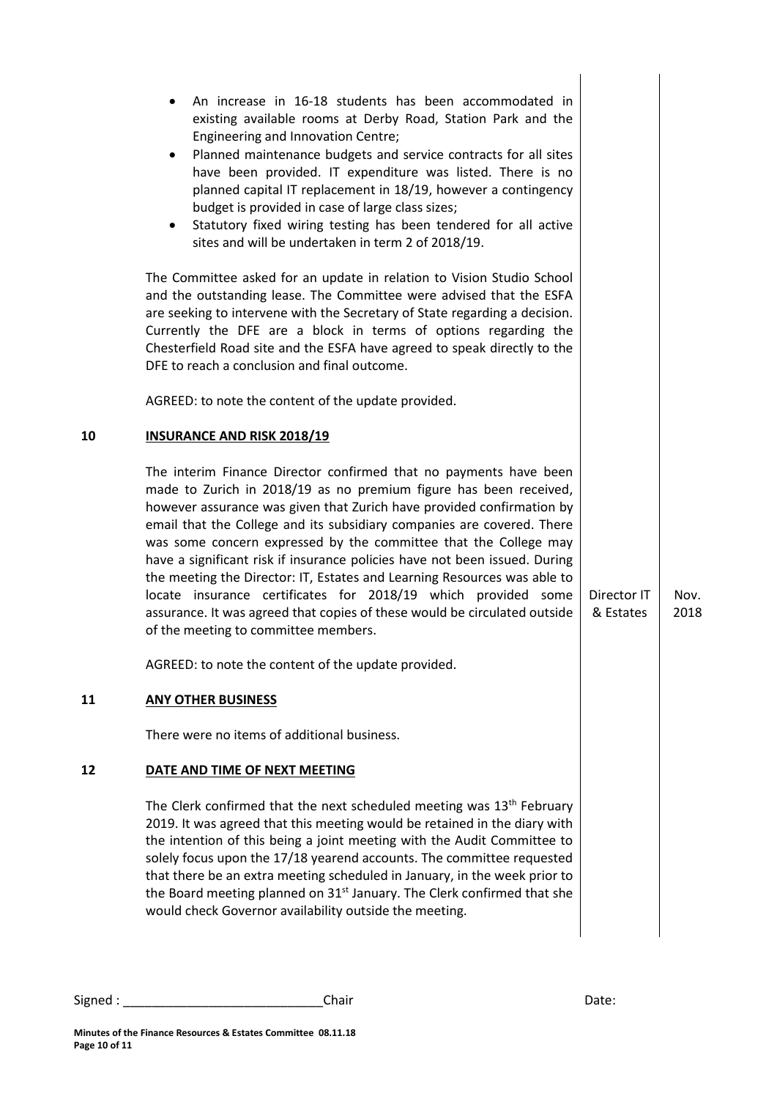|    | An increase in 16-18 students has been accommodated in<br>existing available rooms at Derby Road, Station Park and the<br>Engineering and Innovation Centre;<br>Planned maintenance budgets and service contracts for all sites<br>have been provided. IT expenditure was listed. There is no<br>planned capital IT replacement in 18/19, however a contingency<br>budget is provided in case of large class sizes;<br>Statutory fixed wiring testing has been tendered for all active<br>sites and will be undertaken in term 2 of 2018/19.                                                                                                                                                                  |                          |              |
|----|---------------------------------------------------------------------------------------------------------------------------------------------------------------------------------------------------------------------------------------------------------------------------------------------------------------------------------------------------------------------------------------------------------------------------------------------------------------------------------------------------------------------------------------------------------------------------------------------------------------------------------------------------------------------------------------------------------------|--------------------------|--------------|
|    | The Committee asked for an update in relation to Vision Studio School<br>and the outstanding lease. The Committee were advised that the ESFA<br>are seeking to intervene with the Secretary of State regarding a decision.<br>Currently the DFE are a block in terms of options regarding the<br>Chesterfield Road site and the ESFA have agreed to speak directly to the<br>DFE to reach a conclusion and final outcome.                                                                                                                                                                                                                                                                                     |                          |              |
|    | AGREED: to note the content of the update provided.                                                                                                                                                                                                                                                                                                                                                                                                                                                                                                                                                                                                                                                           |                          |              |
| 10 | <b>INSURANCE AND RISK 2018/19</b>                                                                                                                                                                                                                                                                                                                                                                                                                                                                                                                                                                                                                                                                             |                          |              |
|    | The interim Finance Director confirmed that no payments have been<br>made to Zurich in 2018/19 as no premium figure has been received,<br>however assurance was given that Zurich have provided confirmation by<br>email that the College and its subsidiary companies are covered. There<br>was some concern expressed by the committee that the College may<br>have a significant risk if insurance policies have not been issued. During<br>the meeting the Director: IT, Estates and Learning Resources was able to<br>locate insurance certificates for 2018/19 which provided some<br>assurance. It was agreed that copies of these would be circulated outside<br>of the meeting to committee members. | Director IT<br>& Estates | Nov.<br>2018 |
|    | AGREED: to note the content of the update provided.                                                                                                                                                                                                                                                                                                                                                                                                                                                                                                                                                                                                                                                           |                          |              |
| 11 | <b>ANY OTHER BUSINESS</b>                                                                                                                                                                                                                                                                                                                                                                                                                                                                                                                                                                                                                                                                                     |                          |              |
|    | There were no items of additional business.                                                                                                                                                                                                                                                                                                                                                                                                                                                                                                                                                                                                                                                                   |                          |              |
| 12 | DATE AND TIME OF NEXT MEETING                                                                                                                                                                                                                                                                                                                                                                                                                                                                                                                                                                                                                                                                                 |                          |              |
|    | The Clerk confirmed that the next scheduled meeting was 13 <sup>th</sup> February<br>2019. It was agreed that this meeting would be retained in the diary with<br>the intention of this being a joint meeting with the Audit Committee to<br>solely focus upon the 17/18 yearend accounts. The committee requested<br>that there be an extra meeting scheduled in January, in the week prior to<br>the Board meeting planned on 31 <sup>st</sup> January. The Clerk confirmed that she<br>would check Governor availability outside the meeting.                                                                                                                                                              |                          |              |
|    |                                                                                                                                                                                                                                                                                                                                                                                                                                                                                                                                                                                                                                                                                                               |                          |              |